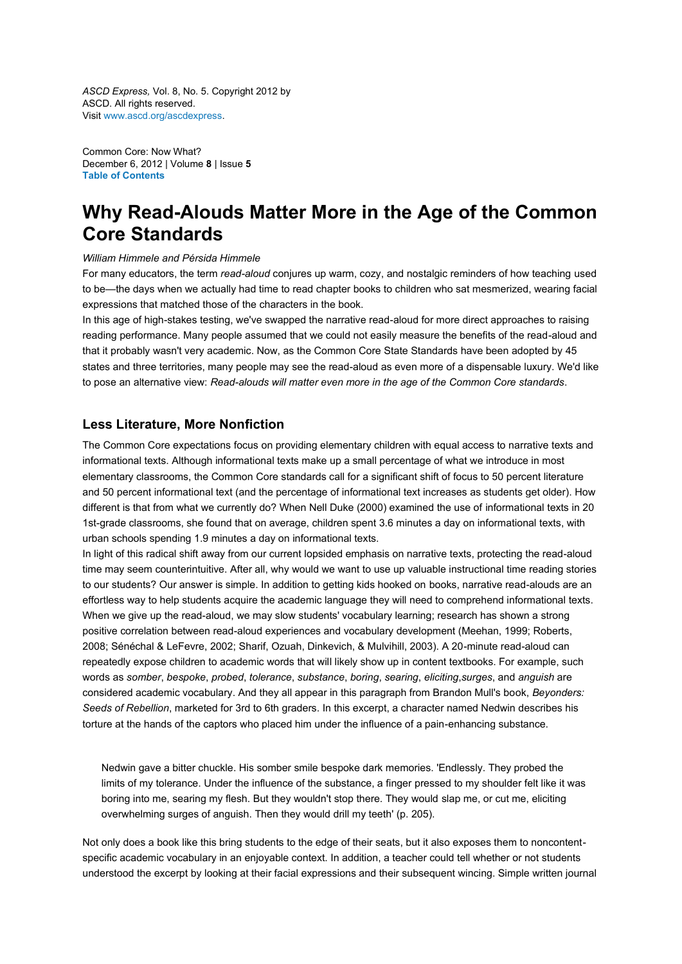*ASCD Express,* Vol. 8, No. 5. Copyright 2012 by ASCD. All rights reserved. Visit [www.ascd.org/ascdexpress.](http://www.ascd.org/ascdexpress)

Common Core: Now What? December 6, 2012 | Volume **8** | Issue **5 [Table of Contents](http://www.ascd.org/ascd-express/vol8/805-toc.aspx)**

# **Why Read-Alouds Matter More in the Age of the Common Core Standards**

#### *William Himmele and Pérsida Himmele*

For many educators, the term *read-aloud* conjures up warm, cozy, and nostalgic reminders of how teaching used to be—the days when we actually had time to read chapter books to children who sat mesmerized, wearing facial expressions that matched those of the characters in the book.

In this age of high-stakes testing, we've swapped the narrative read-aloud for more direct approaches to raising reading performance. Many people assumed that we could not easily measure the benefits of the read-aloud and that it probably wasn't very academic. Now, as the Common Core State Standards have been adopted by 45 states and three territories, many people may see the read-aloud as even more of a dispensable luxury. We'd like to pose an alternative view: *Read-alouds will matter even more in the age of the Common Core standards*.

### **Less Literature, More Nonfiction**

The Common Core expectations focus on providing elementary children with equal access to narrative texts and informational texts. Although informational texts make up a small percentage of what we introduce in most elementary classrooms, the Common Core standards call for a significant shift of focus to 50 percent literature and 50 percent informational text (and the percentage of informational text increases as students get older). How different is that from what we currently do? When Nell Duke (2000) examined the use of informational texts in 20 1st-grade classrooms, she found that on average, children spent 3.6 minutes a day on informational texts, with urban schools spending 1.9 minutes a day on informational texts.

In light of this radical shift away from our current lopsided emphasis on narrative texts, protecting the read-aloud time may seem counterintuitive. After all, why would we want to use up valuable instructional time reading stories to our students? Our answer is simple. In addition to getting kids hooked on books, narrative read-alouds are an effortless way to help students acquire the academic language they will need to comprehend informational texts. When we give up the read-aloud, we may slow students' vocabulary learning; research has shown a strong positive correlation between read-aloud experiences and vocabulary development (Meehan, 1999; Roberts, 2008; Sénéchal & LeFevre, 2002; Sharif, Ozuah, Dinkevich, & Mulvihill, 2003). A 20-minute read-aloud can repeatedly expose children to academic words that will likely show up in content textbooks. For example, such words as *somber*, *bespoke*, *probed*, *tolerance*, *substance*, *boring*, *searing*, *eliciting*,*surges*, and *anguish* are considered academic vocabulary. And they all appear in this paragraph from Brandon Mull's book, *Beyonders: Seeds of Rebellion*, marketed for 3rd to 6th graders. In this excerpt, a character named Nedwin describes his torture at the hands of the captors who placed him under the influence of a pain-enhancing substance.

Nedwin gave a bitter chuckle. His somber smile bespoke dark memories. 'Endlessly. They probed the limits of my tolerance. Under the influence of the substance, a finger pressed to my shoulder felt like it was boring into me, searing my flesh. But they wouldn't stop there. They would slap me, or cut me, eliciting overwhelming surges of anguish. Then they would drill my teeth' (p. 205).

Not only does a book like this bring students to the edge of their seats, but it also exposes them to noncontentspecific academic vocabulary in an enjoyable context. In addition, a teacher could tell whether or not students understood the excerpt by looking at their facial expressions and their subsequent wincing. Simple written journal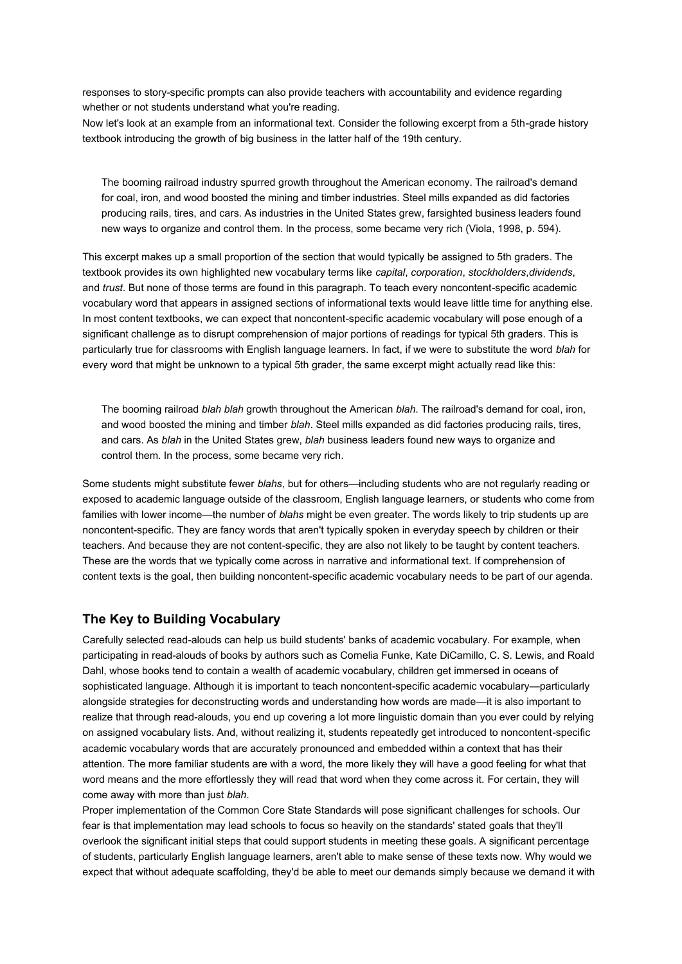responses to story-specific prompts can also provide teachers with accountability and evidence regarding whether or not students understand what you're reading.

Now let's look at an example from an informational text. Consider the following excerpt from a 5th-grade history textbook introducing the growth of big business in the latter half of the 19th century.

The booming railroad industry spurred growth throughout the American economy. The railroad's demand for coal, iron, and wood boosted the mining and timber industries. Steel mills expanded as did factories producing rails, tires, and cars. As industries in the United States grew, farsighted business leaders found new ways to organize and control them. In the process, some became very rich (Viola, 1998, p. 594).

This excerpt makes up a small proportion of the section that would typically be assigned to 5th graders. The textbook provides its own highlighted new vocabulary terms like *capital*, *corporation*, *stockholders*,*dividends*, and *trust*. But none of those terms are found in this paragraph. To teach every noncontent-specific academic vocabulary word that appears in assigned sections of informational texts would leave little time for anything else. In most content textbooks, we can expect that noncontent-specific academic vocabulary will pose enough of a significant challenge as to disrupt comprehension of major portions of readings for typical 5th graders. This is particularly true for classrooms with English language learners. In fact, if we were to substitute the word *blah* for every word that might be unknown to a typical 5th grader, the same excerpt might actually read like this:

The booming railroad *blah blah* growth throughout the American *blah*. The railroad's demand for coal, iron, and wood boosted the mining and timber *blah*. Steel mills expanded as did factories producing rails, tires, and cars. As *blah* in the United States grew, *blah* business leaders found new ways to organize and control them. In the process, some became very rich.

Some students might substitute fewer *blahs*, but for others—including students who are not regularly reading or exposed to academic language outside of the classroom, English language learners, or students who come from families with lower income—the number of *blahs* might be even greater. The words likely to trip students up are noncontent-specific. They are fancy words that aren't typically spoken in everyday speech by children or their teachers. And because they are not content-specific, they are also not likely to be taught by content teachers. These are the words that we typically come across in narrative and informational text. If comprehension of content texts is the goal, then building noncontent-specific academic vocabulary needs to be part of our agenda.

# **The Key to Building Vocabulary**

Carefully selected read-alouds can help us build students' banks of academic vocabulary. For example, when participating in read-alouds of books by authors such as Cornelia Funke, Kate DiCamillo, C. S. Lewis, and Roald Dahl, whose books tend to contain a wealth of academic vocabulary, children get immersed in oceans of sophisticated language. Although it is important to teach noncontent-specific academic vocabulary—particularly alongside strategies for deconstructing words and understanding how words are made—it is also important to realize that through read-alouds, you end up covering a lot more linguistic domain than you ever could by relying on assigned vocabulary lists. And, without realizing it, students repeatedly get introduced to noncontent-specific academic vocabulary words that are accurately pronounced and embedded within a context that has their attention. The more familiar students are with a word, the more likely they will have a good feeling for what that word means and the more effortlessly they will read that word when they come across it. For certain, they will come away with more than just *blah*.

Proper implementation of the Common Core State Standards will pose significant challenges for schools. Our fear is that implementation may lead schools to focus so heavily on the standards' stated goals that they'll overlook the significant initial steps that could support students in meeting these goals. A significant percentage of students, particularly English language learners, aren't able to make sense of these texts now. Why would we expect that without adequate scaffolding, they'd be able to meet our demands simply because we demand it with